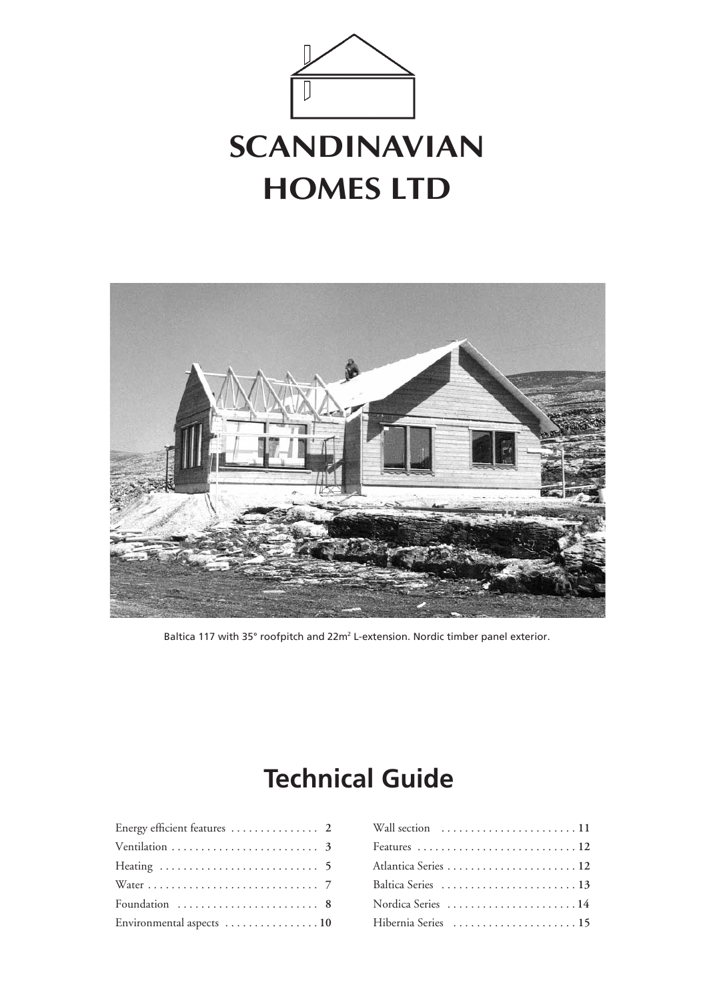



Baltica 117 with 35° roofpitch and 22m<sup>2</sup> L-extension. Nordic timber panel exterior.

### **Technical Guide**

| Energy efficient features  2 |  |
|------------------------------|--|
|                              |  |
|                              |  |
|                              |  |
| Foundation  8                |  |
| Environmental aspects  10    |  |

| Wall section  11    |
|---------------------|
|                     |
|                     |
| Baltica Series  13  |
| Nordica Series 14   |
| Hibernia Series  15 |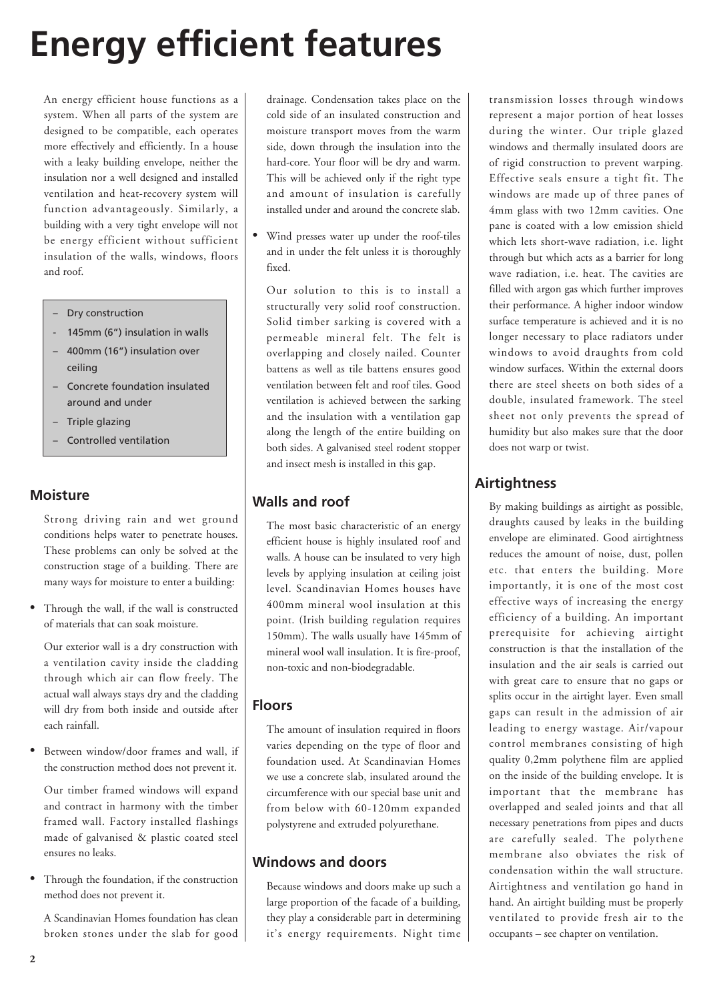# **Energy efficient features**

An energy efficient house functions as a system. When all parts of the system are designed to be compatible, each operates more effectively and efficiently. In a house with a leaky building envelope, neither the insulation nor a well designed and installed ventilation and heat-recovery system will function advantageously. Similarly, a building with a very tight envelope will not be energy efficient without sufficient insulation of the walls, windows, floors and roof.

- Dry construction
- 145mm (6") insulation in walls
- 400mm (16") insulation over ceiling
- Concrete foundation insulated around and under
- Triple glazing
- Controlled ventilation

#### **Moisture**

Strong driving rain and wet ground conditions helps water to penetrate houses. These problems can only be solved at the construction stage of a building. There are many ways for moisture to enter a building:

Through the wall, if the wall is constructed of materials that can soak moisture.

Our exterior wall is a dry construction with a ventilation cavity inside the cladding through which air can flow freely. The actual wall always stays dry and the cladding will dry from both inside and outside after each rainfall.

• Between window/door frames and wall, if the construction method does not prevent it.

Our timber framed windows will expand and contract in harmony with the timber framed wall. Factory installed flashings made of galvanised & plastic coated steel ensures no leaks.

• Through the foundation, if the construction method does not prevent it.

A Scandinavian Homes foundation has clean broken stones under the slab for good drainage. Condensation takes place on the cold side of an insulated construction and moisture transport moves from the warm side, down through the insulation into the hard-core. Your floor will be dry and warm. This will be achieved only if the right type and amount of insulation is carefully installed under and around the concrete slab.

Wind presses water up under the roof-tiles and in under the felt unless it is thoroughly fixed.

Our solution to this is to install a structurally very solid roof construction. Solid timber sarking is covered with a permeable mineral felt. The felt is overlapping and closely nailed. Counter battens as well as tile battens ensures good ventilation between felt and roof tiles. Good ventilation is achieved between the sarking and the insulation with a ventilation gap along the length of the entire building on both sides. A galvanised steel rodent stopper and insect mesh is installed in this gap.

#### **Walls and roof**

The most basic characteristic of an energy efficient house is highly insulated roof and walls. A house can be insulated to very high levels by applying insulation at ceiling joist level. Scandinavian Homes houses have 400mm mineral wool insulation at this point. (Irish building regulation requires 150mm). The walls usually have 145mm of mineral wool wall insulation. It is fire-proof, non-toxic and non-biodegradable.

#### **Floors**

The amount of insulation required in floors varies depending on the type of floor and foundation used. At Scandinavian Homes we use a concrete slab, insulated around the circumference with our special base unit and from below with 60-120mm expanded polystyrene and extruded polyurethane.

#### **Windows and doors**

Because windows and doors make up such a large proportion of the facade of a building, they play a considerable part in determining it's energy requirements. Night time

transmission losses through windows represent a major portion of heat losses during the winter. Our triple glazed windows and thermally insulated doors are of rigid construction to prevent warping. Effective seals ensure a tight fit. The windows are made up of three panes of 4mm glass with two 12mm cavities. One pane is coated with a low emission shield which lets short-wave radiation, i.e. light through but which acts as a barrier for long wave radiation, i.e. heat. The cavities are filled with argon gas which further improves their performance. A higher indoor window surface temperature is achieved and it is no longer necessary to place radiators under windows to avoid draughts from cold window surfaces. Within the external doors there are steel sheets on both sides of a double, insulated framework. The steel sheet not only prevents the spread of humidity but also makes sure that the door does not warp or twist.

#### **Airtightness**

By making buildings as airtight as possible, draughts caused by leaks in the building envelope are eliminated. Good airtightness reduces the amount of noise, dust, pollen etc. that enters the building. More importantly, it is one of the most cost effective ways of increasing the energy efficiency of a building. An important prerequisite for achieving airtight construction is that the installation of the insulation and the air seals is carried out with great care to ensure that no gaps or splits occur in the airtight layer. Even small gaps can result in the admission of air leading to energy wastage. Air/vapour control membranes consisting of high quality 0,2mm polythene film are applied on the inside of the building envelope. It is important that the membrane has overlapped and sealed joints and that all necessary penetrations from pipes and ducts are carefully sealed. The polythene membrane also obviates the risk of condensation within the wall structure. Airtightness and ventilation go hand in hand. An airtight building must be properly ventilated to provide fresh air to the occupants – see chapter on ventilation.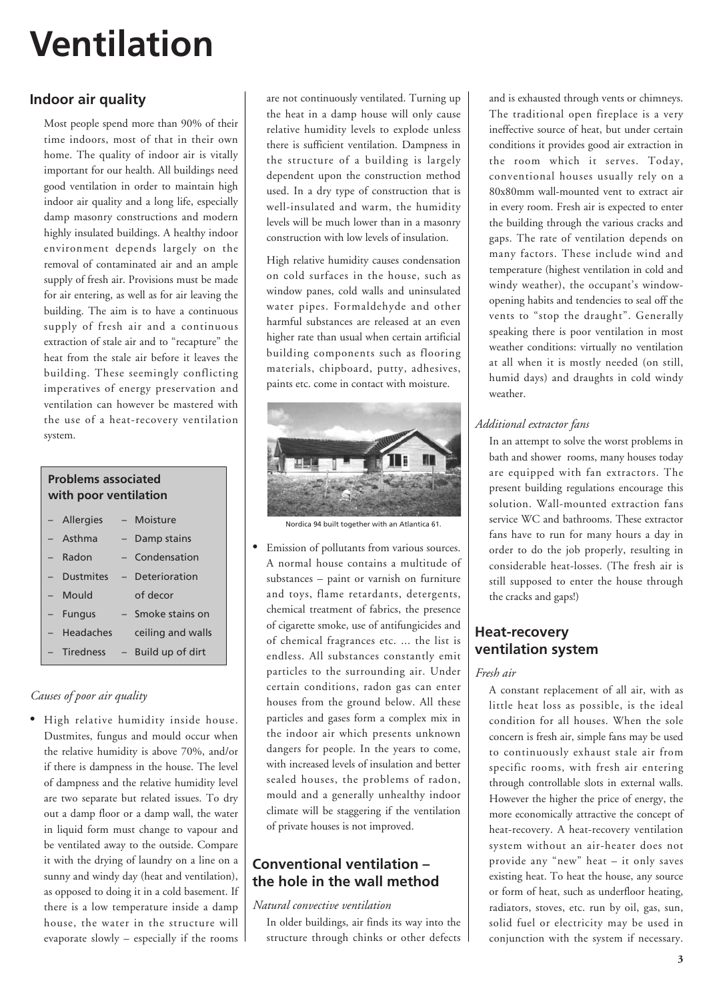# **Ventilation**

#### **Indoor air quality**

Most people spend more than 90% of their time indoors, most of that in their own home. The quality of indoor air is vitally important for our health. All buildings need good ventilation in order to maintain high indoor air quality and a long life, especially damp masonry constructions and modern highly insulated buildings. A healthy indoor environment depends largely on the removal of contaminated air and an ample supply of fresh air. Provisions must be made for air entering, as well as for air leaving the building. The aim is to have a continuous supply of fresh air and a continuous extraction of stale air and to "recapture" the heat from the stale air before it leaves the building. These seemingly conflicting imperatives of energy preservation and ventilation can however be mastered with the use of a heat-recovery ventilation system.

### **Problems associated with poor ventilation**

| - Allergies | - Moisture           |
|-------------|----------------------|
| - Asthma    | - Damp stains        |
| - Radon     | - Condensation       |
| - Dustmites | - Deterioration      |
| - Mould     | of decor             |
| - Fungus    | - Smoke stains on    |
| - Headaches | ceiling and walls    |
| - Tiredness | $-$ Build up of dirt |

#### *Causes of poor air quality*

• High relative humidity inside house. Dustmites, fungus and mould occur when the relative humidity is above 70%, and/or if there is dampness in the house. The level of dampness and the relative humidity level are two separate but related issues. To dry out a damp floor or a damp wall, the water in liquid form must change to vapour and be ventilated away to the outside. Compare it with the drying of laundry on a line on a sunny and windy day (heat and ventilation), as opposed to doing it in a cold basement. If there is a low temperature inside a damp house, the water in the structure will evaporate slowly – especially if the rooms are not continuously ventilated. Turning up the heat in a damp house will only cause relative humidity levels to explode unless there is sufficient ventilation. Dampness in the structure of a building is largely dependent upon the construction method used. In a dry type of construction that is well-insulated and warm, the humidity levels will be much lower than in a masonry construction with low levels of insulation.

High relative humidity causes condensation on cold surfaces in the house, such as window panes, cold walls and uninsulated water pipes. Formaldehyde and other harmful substances are released at an even higher rate than usual when certain artificial building components such as flooring materials, chipboard, putty, adhesives, paints etc. come in contact with moisture.



Nordica 94 built together with an Atlantica 61.

• Emission of pollutants from various sources. A normal house contains a multitude of substances – paint or varnish on furniture and toys, flame retardants, detergents, chemical treatment of fabrics, the presence of cigarette smoke, use of antifungicides and of chemical fragrances etc. ... the list is endless. All substances constantly emit particles to the surrounding air. Under certain conditions, radon gas can enter houses from the ground below. All these particles and gases form a complex mix in the indoor air which presents unknown dangers for people. In the years to come, with increased levels of insulation and better sealed houses, the problems of radon, mould and a generally unhealthy indoor climate will be staggering if the ventilation of private houses is not improved.

#### **Conventional ventilation – the hole in the wall method**

#### *Natural convective ventilation*

In older buildings, air finds its way into the structure through chinks or other defects and is exhausted through vents or chimneys. The traditional open fireplace is a very ineffective source of heat, but under certain conditions it provides good air extraction in the room which it serves. Today, conventional houses usually rely on a 80x80mm wall-mounted vent to extract air in every room. Fresh air is expected to enter the building through the various cracks and gaps. The rate of ventilation depends on many factors. These include wind and temperature (highest ventilation in cold and windy weather), the occupant's windowopening habits and tendencies to seal off the vents to "stop the draught". Generally speaking there is poor ventilation in most weather conditions: virtually no ventilation at all when it is mostly needed (on still, humid days) and draughts in cold windy weather.

#### *Additional extractor fans*

In an attempt to solve the worst problems in bath and shower rooms, many houses today are equipped with fan extractors. The present building regulations encourage this solution. Wall-mounted extraction fans service WC and bathrooms. These extractor fans have to run for many hours a day in order to do the job properly, resulting in considerable heat-losses. (The fresh air is still supposed to enter the house through the cracks and gaps!)

#### **Heat-recovery ventilation system**

#### *Fresh air*

A constant replacement of all air, with as little heat loss as possible, is the ideal condition for all houses. When the sole concern is fresh air, simple fans may be used to continuously exhaust stale air from specific rooms, with fresh air entering through controllable slots in external walls. However the higher the price of energy, the more economically attractive the concept of heat-recovery. A heat-recovery ventilation system without an air-heater does not provide any "new" heat – it only saves existing heat. To heat the house, any source or form of heat, such as underfloor heating, radiators, stoves, etc. run by oil, gas, sun, solid fuel or electricity may be used in conjunction with the system if necessary.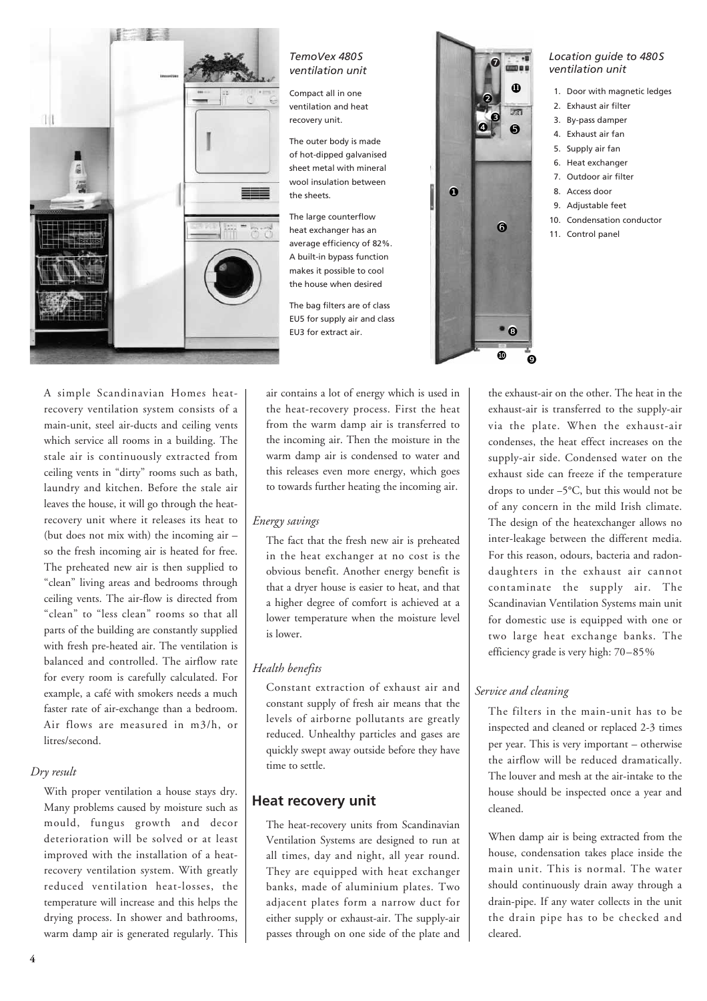

#### *TemoVex 480S ventilation unit*

Compact all in one ventilation and heat recovery unit.

The outer body is made of hot-dipped galvanised sheet metal with mineral wool insulation between the sheets.

The large counterflow heat exchanger has an average efficiency of 82%. A built-in bypass function makes it possible to cool the house when desired

The bag filters are of class EU5 for supply air and class EU3 for extract air.



#### *Location guide to 480S ventilation unit*

- 1. Door with magnetic ledges
- 2. Exhaust air filter
- 3. By-pass damper
- 4. Exhaust air fan
- 5. Supply air fan
- 6. Heat exchanger
- 7. Outdoor air filter
- 8. Access door
- 9. Adjustable feet
- 10. Condensation conductor
- 11. Control panel

A simple Scandinavian Homes heatrecovery ventilation system consists of a main-unit, steel air-ducts and ceiling vents which service all rooms in a building. The stale air is continuously extracted from ceiling vents in "dirty" rooms such as bath, laundry and kitchen. Before the stale air leaves the house, it will go through the heatrecovery unit where it releases its heat to (but does not mix with) the incoming air – so the fresh incoming air is heated for free. The preheated new air is then supplied to "clean" living areas and bedrooms through ceiling vents. The air-flow is directed from "clean" to "less clean" rooms so that all parts of the building are constantly supplied with fresh pre-heated air. The ventilation is balanced and controlled. The airflow rate for every room is carefully calculated. For example, a café with smokers needs a much faster rate of air-exchange than a bedroom. Air flows are measured in m3/h, or litres/second.

#### *Dry result*

With proper ventilation a house stays dry. Many problems caused by moisture such as mould, fungus growth and decor deterioration will be solved or at least improved with the installation of a heatrecovery ventilation system. With greatly reduced ventilation heat-losses, the temperature will increase and this helps the drying process. In shower and bathrooms, warm damp air is generated regularly. This air contains a lot of energy which is used in the heat-recovery process. First the heat from the warm damp air is transferred to the incoming air. Then the moisture in the warm damp air is condensed to water and this releases even more energy, which goes to towards further heating the incoming air.

#### *Energy savings*

The fact that the fresh new air is preheated in the heat exchanger at no cost is the obvious benefit. Another energy benefit is that a dryer house is easier to heat, and that a higher degree of comfort is achieved at a lower temperature when the moisture level is lower.

#### *Health benefits*

Constant extraction of exhaust air and constant supply of fresh air means that the levels of airborne pollutants are greatly reduced. Unhealthy particles and gases are quickly swept away outside before they have time to settle.

#### **Heat recovery unit**

The heat-recovery units from Scandinavian Ventilation Systems are designed to run at all times, day and night, all year round. They are equipped with heat exchanger banks, made of aluminium plates. Two adjacent plates form a narrow duct for either supply or exhaust-air. The supply-air passes through on one side of the plate and the exhaust-air on the other. The heat in the exhaust-air is transferred to the supply-air via the plate. When the exhaust-air condenses, the heat effect increases on the supply-air side. Condensed water on the exhaust side can freeze if the temperature drops to under –5°C, but this would not be of any concern in the mild Irish climate. The design of the heatexchanger allows no inter-leakage between the different media. For this reason, odours, bacteria and radondaughters in the exhaust air cannot contaminate the supply air. The Scandinavian Ventilation Systems main unit for domestic use is equipped with one or two large heat exchange banks. The efficiency grade is very high: 70–85%

#### *Service and cleaning*

The filters in the main-unit has to be inspected and cleaned or replaced 2-3 times per year. This is very important – otherwise the airflow will be reduced dramatically. The louver and mesh at the air-intake to the house should be inspected once a year and cleaned.

When damp air is being extracted from the house, condensation takes place inside the main unit. This is normal. The water should continuously drain away through a drain-pipe. If any water collects in the unit the drain pipe has to be checked and cleared.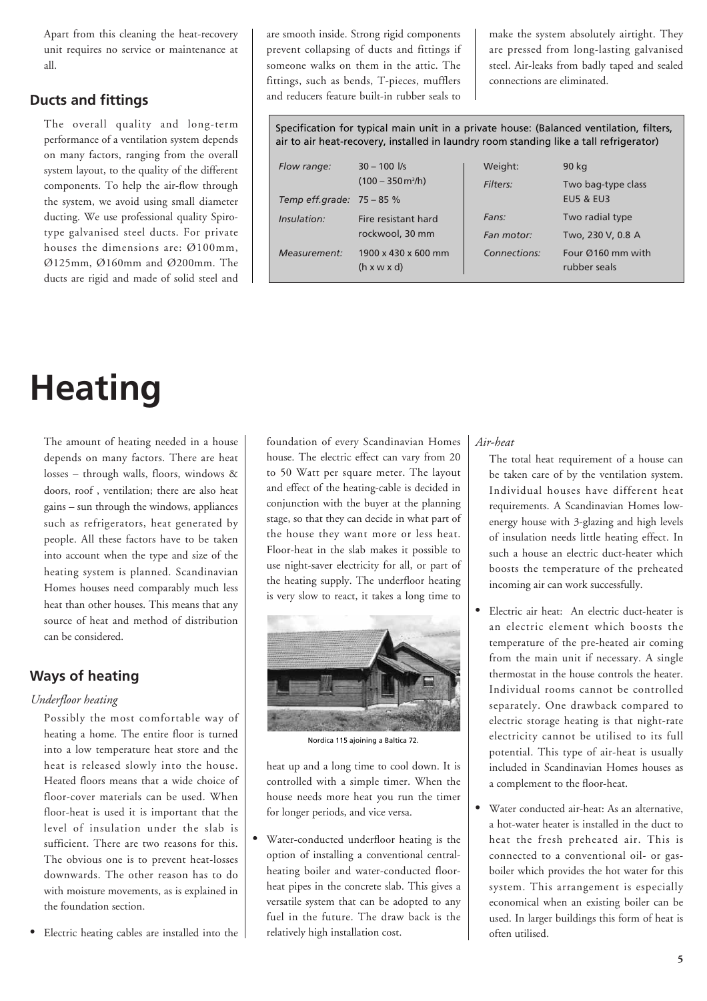Apart from this cleaning the heat-recovery unit requires no service or maintenance at all.

#### **Ducts and fittings**

The overall quality and long-term performance of a ventilation system depends on many factors, ranging from the overall system layout, to the quality of the different components. To help the air-flow through the system, we avoid using small diameter ducting. We use professional quality Spirotype galvanised steel ducts. For private houses the dimensions are: Ø100mm, Ø125mm, Ø160mm and Ø200mm. The ducts are rigid and made of solid steel and are smooth inside. Strong rigid components prevent collapsing of ducts and fittings if someone walks on them in the attic. The fittings, such as bends, T-pieces, mufflers and reducers feature built-in rubber seals to

make the system absolutely airtight. They are pressed from long-lasting galvanised steel. Air-leaks from badly taped and sealed connections are eliminated.

Specification for typical main unit in a private house: (Balanced ventilation, filters, air to air heat-recovery, installed in laundry room standing like a tall refrigerator)

| Flow range:  | $30 - 100$ $\frac{1}{s}$<br>$(100 - 350 \,\mathrm{m^3/h})$<br>Temp eff.grade: $75 - 85%$ | Weight:      | 90 kg                                      |  |
|--------------|------------------------------------------------------------------------------------------|--------------|--------------------------------------------|--|
|              |                                                                                          | Filters:     | Two bag-type class<br><b>EU5 &amp; EU3</b> |  |
| Insulation:  | Fire resistant hard<br>rockwool, 30 mm                                                   | Fans:        | Two radial type                            |  |
|              |                                                                                          | Fan motor:   | Two, 230 V, 0.8 A                          |  |
| Measurement: | 1900 x 430 x 600 mm<br>(h x w x d)                                                       | Connections: | Four $@160$ mm with<br>rubber seals        |  |

# **Heating**

The amount of heating needed in a house depends on many factors. There are heat losses – through walls, floors, windows & doors, roof , ventilation; there are also heat gains – sun through the windows, appliances such as refrigerators, heat generated by people. All these factors have to be taken into account when the type and size of the heating system is planned. Scandinavian Homes houses need comparably much less heat than other houses. This means that any source of heat and method of distribution can be considered.

#### **Ways of heating**

#### *Underfloor heating*

Possibly the most comfortable way of heating a home. The entire floor is turned into a low temperature heat store and the heat is released slowly into the house. Heated floors means that a wide choice of floor-cover materials can be used. When floor-heat is used it is important that the level of insulation under the slab is sufficient. There are two reasons for this. The obvious one is to prevent heat-losses downwards. The other reason has to do with moisture movements, as is explained in the foundation section.

Electric heating cables are installed into the

foundation of every Scandinavian Homes house. The electric effect can vary from 20 to 50 Watt per square meter. The layout and effect of the heating-cable is decided in conjunction with the buyer at the planning stage, so that they can decide in what part of the house they want more or less heat. Floor-heat in the slab makes it possible to use night-saver electricity for all, or part of the heating supply. The underfloor heating is very slow to react, it takes a long time to



Nordica 115 ajoining a Baltica 72.

heat up and a long time to cool down. It is controlled with a simple timer. When the house needs more heat you run the timer for longer periods, and vice versa.

Water-conducted underfloor heating is the option of installing a conventional centralheating boiler and water-conducted floorheat pipes in the concrete slab. This gives a versatile system that can be adopted to any fuel in the future. The draw back is the relatively high installation cost.

#### *Air-heat*

The total heat requirement of a house can be taken care of by the ventilation system. Individual houses have different heat requirements. A Scandinavian Homes lowenergy house with 3-glazing and high levels of insulation needs little heating effect. In such a house an electric duct-heater which boosts the temperature of the preheated incoming air can work successfully.

- Electric air heat: An electric duct-heater is an electric element which boosts the temperature of the pre-heated air coming from the main unit if necessary. A single thermostat in the house controls the heater. Individual rooms cannot be controlled separately. One drawback compared to electric storage heating is that night-rate electricity cannot be utilised to its full potential. This type of air-heat is usually included in Scandinavian Homes houses as a complement to the floor-heat.
- Water conducted air-heat: As an alternative, a hot-water heater is installed in the duct to heat the fresh preheated air. This is connected to a conventional oil- or gasboiler which provides the hot water for this system. This arrangement is especially economical when an existing boiler can be used. In larger buildings this form of heat is often utilised.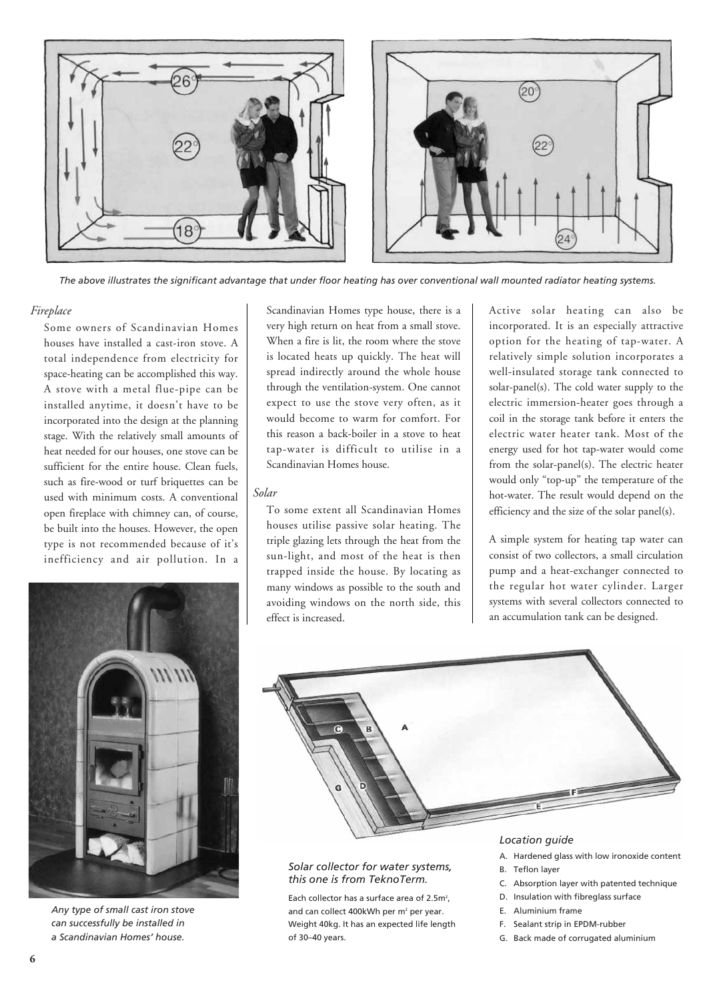

*The above illustrates the significant advantage that under floor heating has over conventional wall mounted radiator heating systems.*

#### *Fireplace*

Some owners of Scandinavian Homes houses have installed a cast-iron stove. A total independence from electricity for space-heating can be accomplished this way. A stove with a metal flue-pipe can be installed anytime, it doesn't have to be incorporated into the design at the planning stage. With the relatively small amounts of heat needed for our houses, one stove can be sufficient for the entire house. Clean fuels, such as fire-wood or turf briquettes can be used with minimum costs. A conventional open fireplace with chimney can, of course, be built into the houses. However, the open type is not recommended because of it's inefficiency and air pollution. In a



*Any type of small cast iron stove can successfully be installed in a Scandinavian Homes' house.*

Scandinavian Homes type house, there is a very high return on heat from a small stove. When a fire is lit, the room where the stove is located heats up quickly. The heat will spread indirectly around the whole house through the ventilation-system. One cannot expect to use the stove very often, as it would become to warm for comfort. For this reason a back-boiler in a stove to heat tap-water is difficult to utilise in a Scandinavian Homes house.

#### *Solar*

To some extent all Scandinavian Homes houses utilise passive solar heating. The triple glazing lets through the heat from the sun-light, and most of the heat is then trapped inside the house. By locating as many windows as possible to the south and avoiding windows on the north side, this effect is increased.

Active solar heating can also be incorporated. It is an especially attractive option for the heating of tap-water. A relatively simple solution incorporates a well-insulated storage tank connected to solar-panel(s). The cold water supply to the electric immersion-heater goes through a coil in the storage tank before it enters the electric water heater tank. Most of the energy used for hot tap-water would come from the solar-panel(s). The electric heater would only "top-up" the temperature of the hot-water. The result would depend on the efficiency and the size of the solar panel(s).

A simple system for heating tap water can consist of two collectors, a small circulation pump and a heat-exchanger connected to the regular hot water cylinder. Larger systems with several collectors connected to an accumulation tank can be designed.



#### *Solar collector for water systems, this one is from TeknoTerm.*

Each collector has a surface area of  $2.5m^2$ , and can collect 400kWh per m<sup>2</sup> per year. Weight 40kg. It has an expected life length of 30–40 years.

#### *Location guide*

- A. Hardened glass with low ironoxide content
- B. Teflon layer
	- C. Absorption layer with patented technique
	- D. Insulation with fibreglass surface
	- E. Aluminium frame
	- F. Sealant strip in EPDM-rubber
	- G. Back made of corrugated aluminium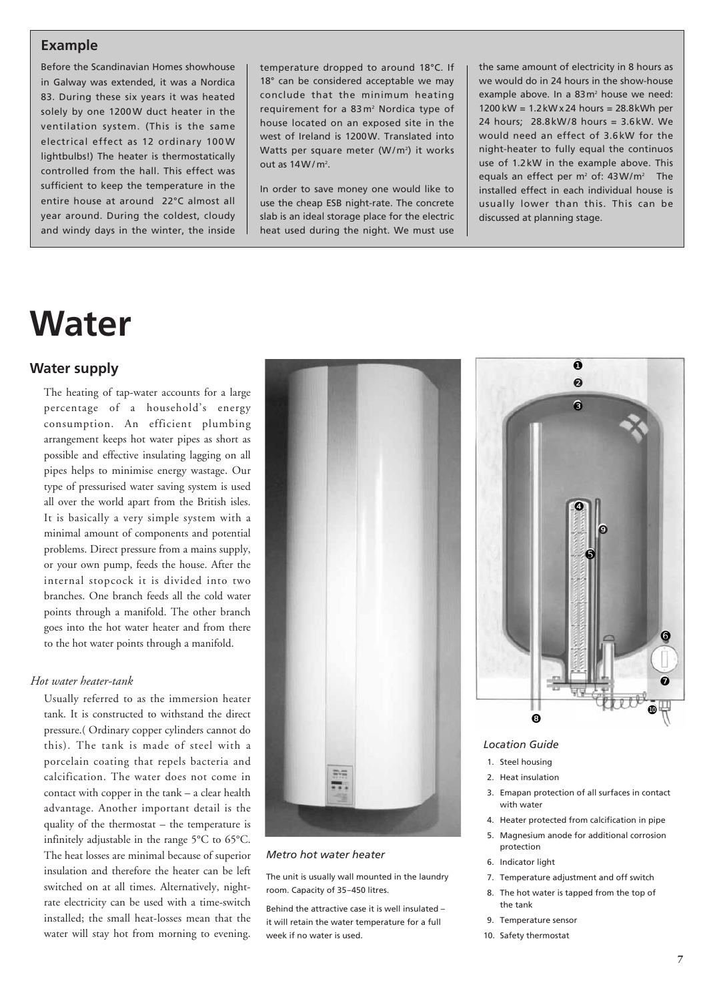#### **Example**

Before the Scandinavian Homes showhouse in Galway was extended, it was a Nordica 83. During these six years it was heated solely by one 1200W duct heater in the ventilation system. (This is the same electrical effect as 12 ordinary 100W lightbulbs!) The heater is thermostatically controlled from the hall. This effect was sufficient to keep the temperature in the entire house at around 22°C almost all year around. During the coldest, cloudy and windy days in the winter, the inside

temperature dropped to around 18°C. If 18° can be considered acceptable we may conclude that the minimum heating requirement for a 83m<sup>2</sup> Nordica type of house located on an exposed site in the west of Ireland is 1200W. Translated into Watts per square meter (W/m<sup>2</sup>) it works out as  $14W/m^2$ .

In order to save money one would like to use the cheap ESB night-rate. The concrete slab is an ideal storage place for the electric heat used during the night. We must use

the same amount of electricity in 8 hours as we would do in 24 hours in the show-house example above. In a  $83 \text{ m}^2$  house we need: 1200 kW = 1.2kW x 24 hours = 28.8kWh per 24 hours; 28.8kW/8 hours = 3.6kW. We would need an effect of 3.6kW for the night-heater to fully equal the continuos use of 1.2kW in the example above. This equals an effect per  $m^2$  of: 43W/ $m^2$  The installed effect in each individual house is usually lower than this. This can be discussed at planning stage.

# **Water**

#### **Water supply**

The heating of tap-water accounts for a large percentage of a household's energy consumption. An efficient plumbing arrangement keeps hot water pipes as short as possible and effective insulating lagging on all pipes helps to minimise energy wastage. Our type of pressurised water saving system is used all over the world apart from the British isles. It is basically a very simple system with a minimal amount of components and potential problems. Direct pressure from a mains supply, or your own pump, feeds the house. After the internal stopcock it is divided into two branches. One branch feeds all the cold water points through a manifold. The other branch goes into the hot water heater and from there to the hot water points through a manifold.

#### *Hot water heater-tank*

Usually referred to as the immersion heater tank. It is constructed to withstand the direct pressure.( Ordinary copper cylinders cannot do this). The tank is made of steel with a porcelain coating that repels bacteria and calcification. The water does not come in contact with copper in the tank – a clear health advantage. Another important detail is the quality of the thermostat – the temperature is infinitely adjustable in the range 5°C to 65°C. The heat losses are minimal because of superior insulation and therefore the heater can be left switched on at all times. Alternatively, nightrate electricity can be used with a time-switch installed; the small heat-losses mean that the water will stay hot from morning to evening.



#### *Metro hot water heater*

The unit is usually wall mounted in the laundry room. Capacity of 35–450 litres.

Behind the attractive case it is well insulated – it will retain the water temperature for a full week if no water is used.



#### *Location Guide*

- 1. Steel housing
- 2. Heat insulation
- 3. Emapan protection of all surfaces in contact with water
- 4. Heater protected from calcification in pipe
- 5. Magnesium anode for additional corrosion protection
- 6. Indicator light
- 7. Temperature adjustment and off switch
- 8. The hot water is tapped from the top of the tank
- 9. Temperature sensor
- 10. Safety thermostat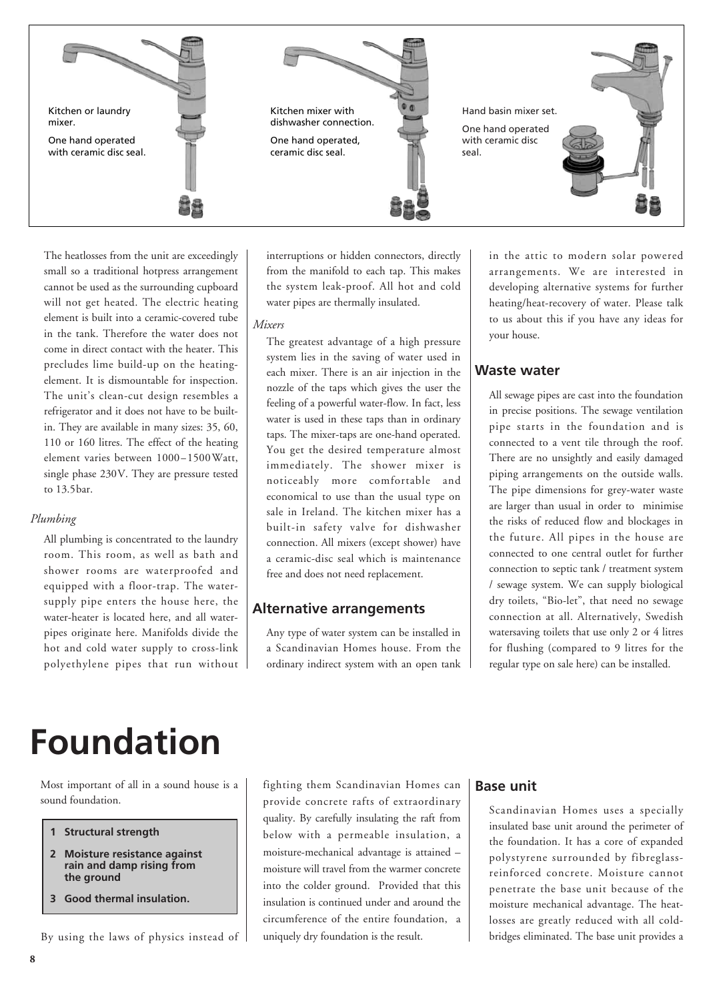

The heatlosses from the unit are exceedingly small so a traditional hotpress arrangement cannot be used as the surrounding cupboard will not get heated. The electric heating element is built into a ceramic-covered tube in the tank. Therefore the water does not come in direct contact with the heater. This precludes lime build-up on the heatingelement. It is dismountable for inspection. The unit's clean-cut design resembles a refrigerator and it does not have to be builtin. They are available in many sizes: 35, 60, 110 or 160 litres. The effect of the heating element varies between 1000–1500Watt, single phase 230V. They are pressure tested to 13.5bar.

#### *Plumbing*

All plumbing is concentrated to the laundry room. This room, as well as bath and shower rooms are waterproofed and equipped with a floor-trap. The watersupply pipe enters the house here, the water-heater is located here, and all waterpipes originate here. Manifolds divide the hot and cold water supply to cross-link polyethylene pipes that run without interruptions or hidden connectors, directly from the manifold to each tap. This makes the system leak-proof. All hot and cold water pipes are thermally insulated.

#### *Mixers*

The greatest advantage of a high pressure system lies in the saving of water used in each mixer. There is an air injection in the nozzle of the taps which gives the user the feeling of a powerful water-flow. In fact, less water is used in these taps than in ordinary taps. The mixer-taps are one-hand operated. You get the desired temperature almost immediately. The shower mixer is noticeably more comfortable and economical to use than the usual type on sale in Ireland. The kitchen mixer has a built-in safety valve for dishwasher connection. All mixers (except shower) have a ceramic-disc seal which is maintenance free and does not need replacement.

#### **Alternative arrangements**

Any type of water system can be installed in a Scandinavian Homes house. From the ordinary indirect system with an open tank in the attic to modern solar powered arrangements. We are interested in developing alternative systems for further heating/heat-recovery of water. Please talk to us about this if you have any ideas for your house.

#### **Waste water**

All sewage pipes are cast into the foundation in precise positions. The sewage ventilation pipe starts in the foundation and is connected to a vent tile through the roof. There are no unsightly and easily damaged piping arrangements on the outside walls. The pipe dimensions for grey-water waste are larger than usual in order to minimise the risks of reduced flow and blockages in the future. All pipes in the house are connected to one central outlet for further connection to septic tank / treatment system / sewage system. We can supply biological dry toilets, "Bio-let", that need no sewage connection at all. Alternatively, Swedish watersaving toilets that use only 2 or 4 litres for flushing (compared to 9 litres for the regular type on sale here) can be installed.

# **Foundation**

Most important of all in a sound house is a sound foundation.

- **1 Structural strength**
- **2 Moisture resistance against rain and damp rising from the ground**
- **3 Good thermal insulation.**

By using the laws of physics instead of

fighting them Scandinavian Homes can provide concrete rafts of extraordinary quality. By carefully insulating the raft from below with a permeable insulation, a moisture-mechanical advantage is attained – moisture will travel from the warmer concrete into the colder ground. Provided that this insulation is continued under and around the circumference of the entire foundation, a uniquely dry foundation is the result.

#### **Base unit**

Scandinavian Homes uses a specially insulated base unit around the perimeter of the foundation. It has a core of expanded polystyrene surrounded by fibreglassreinforced concrete. Moisture cannot penetrate the base unit because of the moisture mechanical advantage. The heatlosses are greatly reduced with all coldbridges eliminated. The base unit provides a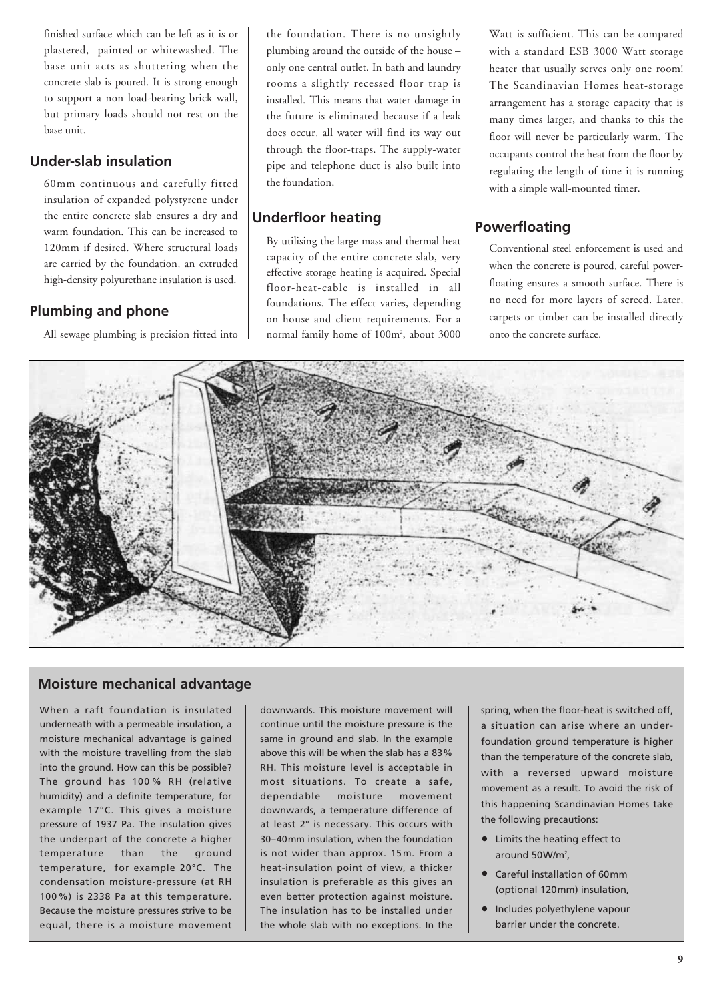finished surface which can be left as it is or plastered, painted or whitewashed. The base unit acts as shuttering when the concrete slab is poured. It is strong enough to support a non load-bearing brick wall, but primary loads should not rest on the base unit.

#### **Under-slab insulation**

60mm continuous and carefully fitted insulation of expanded polystyrene under the entire concrete slab ensures a dry and warm foundation. This can be increased to 120mm if desired. Where structural loads are carried by the foundation, an extruded high-density polyurethane insulation is used.

#### **Plumbing and phone**

All sewage plumbing is precision fitted into

the foundation. There is no unsightly plumbing around the outside of the house – only one central outlet. In bath and laundry rooms a slightly recessed floor trap is installed. This means that water damage in the future is eliminated because if a leak does occur, all water will find its way out through the floor-traps. The supply-water pipe and telephone duct is also built into the foundation.

#### **Underfloor heating**

By utilising the large mass and thermal heat capacity of the entire concrete slab, very effective storage heating is acquired. Special floor-heat-cable is installed in all foundations. The effect varies, depending on house and client requirements. For a normal family home of 100m2 , about 3000

Watt is sufficient. This can be compared with a standard ESB 3000 Watt storage heater that usually serves only one room! The Scandinavian Homes heat-storage arrangement has a storage capacity that is many times larger, and thanks to this the floor will never be particularly warm. The occupants control the heat from the floor by regulating the length of time it is running with a simple wall-mounted timer.

#### **Powerfloating**

Conventional steel enforcement is used and when the concrete is poured, careful powerfloating ensures a smooth surface. There is no need for more layers of screed. Later, carpets or timber can be installed directly onto the concrete surface.



#### **Moisture mechanical advantage**

When a raft foundation is insulated underneath with a permeable insulation, a moisture mechanical advantage is gained with the moisture travelling from the slab into the ground. How can this be possible? The ground has 100 % RH (relative humidity) and a definite temperature, for example 17°C. This gives a moisture pressure of 1937 Pa. The insulation gives the underpart of the concrete a higher temperature than the ground temperature, for example 20°C. The condensation moisture-pressure (at RH 100%) is 2338 Pa at this temperature. Because the moisture pressures strive to be equal, there is a moisture movement downwards. This moisture movement will continue until the moisture pressure is the same in ground and slab. In the example above this will be when the slab has a 83% RH. This moisture level is acceptable in most situations. To create a safe, dependable moisture movement downwards, a temperature difference of at least 2° is necessary. This occurs with 30–40mm insulation, when the foundation is not wider than approx. 15m. From a heat-insulation point of view, a thicker insulation is preferable as this gives an even better protection against moisture. The insulation has to be installed under the whole slab with no exceptions. In the

spring, when the floor-heat is switched off, a situation can arise where an underfoundation ground temperature is higher than the temperature of the concrete slab, with a reversed upward moisture movement as a result. To avoid the risk of this happening Scandinavian Homes take the following precautions:

- Limits the heating effect to around  $50$  W/m<sup>2</sup>,
- Careful installation of 60mm (optional 120mm) insulation,
- Includes polyethylene vapour barrier under the concrete.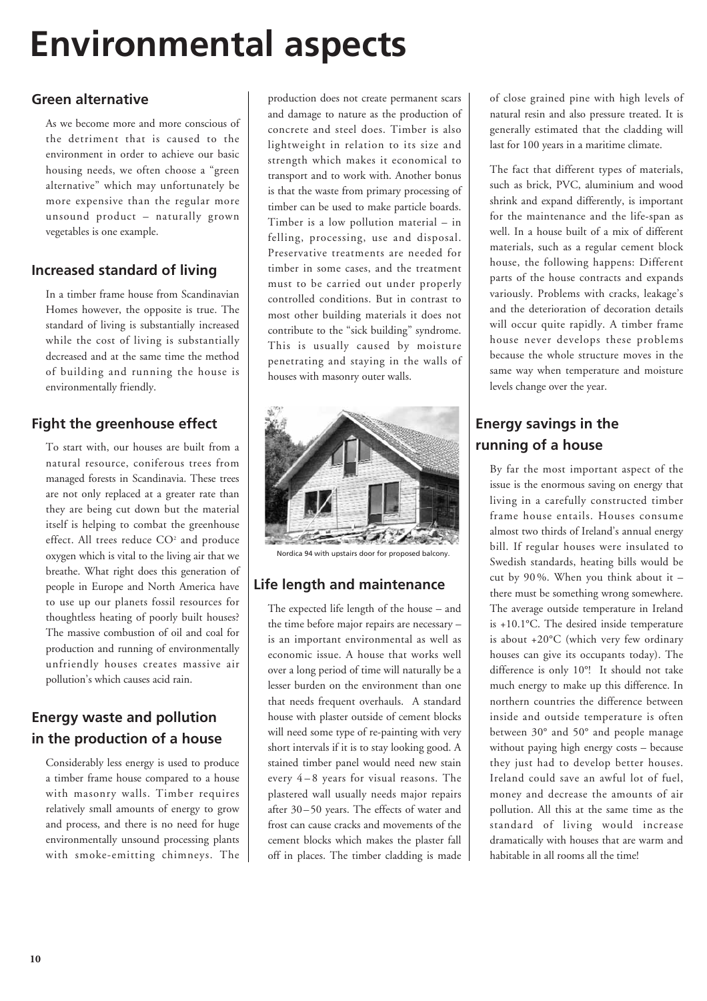# **Environmental aspects**

#### **Green alternative**

As we become more and more conscious of the detriment that is caused to the environment in order to achieve our basic housing needs, we often choose a "green alternative" which may unfortunately be more expensive than the regular more unsound product – naturally grown vegetables is one example.

#### **Increased standard of living**

In a timber frame house from Scandinavian Homes however, the opposite is true. The standard of living is substantially increased while the cost of living is substantially decreased and at the same time the method of building and running the house is environmentally friendly.

#### **Fight the greenhouse effect**

To start with, our houses are built from a natural resource, coniferous trees from managed forests in Scandinavia. These trees are not only replaced at a greater rate than they are being cut down but the material itself is helping to combat the greenhouse effect. All trees reduce CO<sup>2</sup> and produce oxygen which is vital to the living air that we breathe. What right does this generation of people in Europe and North America have to use up our planets fossil resources for thoughtless heating of poorly built houses? The massive combustion of oil and coal for production and running of environmentally unfriendly houses creates massive air pollution's which causes acid rain.

#### **Energy waste and pollution in the production of a house**

Considerably less energy is used to produce a timber frame house compared to a house with masonry walls. Timber requires relatively small amounts of energy to grow and process, and there is no need for huge environmentally unsound processing plants with smoke-emitting chimneys. The production does not create permanent scars and damage to nature as the production of concrete and steel does. Timber is also lightweight in relation to its size and strength which makes it economical to transport and to work with. Another bonus is that the waste from primary processing of timber can be used to make particle boards. Timber is a low pollution material – in felling, processing, use and disposal. Preservative treatments are needed for timber in some cases, and the treatment must to be carried out under properly controlled conditions. But in contrast to most other building materials it does not contribute to the "sick building" syndrome. This is usually caused by moisture penetrating and staying in the walls of houses with masonry outer walls.



Nordica 94 with upstairs door for proposed balcony.

#### **Life length and maintenance**

The expected life length of the house – and the time before major repairs are necessary – is an important environmental as well as economic issue. A house that works well over a long period of time will naturally be a lesser burden on the environment than one that needs frequent overhauls. A standard house with plaster outside of cement blocks will need some type of re-painting with very short intervals if it is to stay looking good. A stained timber panel would need new stain every 4 – 8 years for visual reasons. The plastered wall usually needs major repairs after 30–50 years. The effects of water and frost can cause cracks and movements of the cement blocks which makes the plaster fall off in places. The timber cladding is made of close grained pine with high levels of natural resin and also pressure treated. It is generally estimated that the cladding will last for 100 years in a maritime climate.

The fact that different types of materials, such as brick, PVC, aluminium and wood shrink and expand differently, is important for the maintenance and the life-span as well. In a house built of a mix of different materials, such as a regular cement block house, the following happens: Different parts of the house contracts and expands variously. Problems with cracks, leakage's and the deterioration of decoration details will occur quite rapidly. A timber frame house never develops these problems because the whole structure moves in the same way when temperature and moisture levels change over the year.

#### **Energy savings in the running of a house**

By far the most important aspect of the issue is the enormous saving on energy that living in a carefully constructed timber frame house entails. Houses consume almost two thirds of Ireland's annual energy bill. If regular houses were insulated to Swedish standards, heating bills would be cut by 90 %. When you think about it – there must be something wrong somewhere. The average outside temperature in Ireland is +10.1°C. The desired inside temperature is about +20°C (which very few ordinary houses can give its occupants today). The difference is only 10°! It should not take much energy to make up this difference. In northern countries the difference between inside and outside temperature is often between 30° and 50° and people manage without paying high energy costs – because they just had to develop better houses. Ireland could save an awful lot of fuel, money and decrease the amounts of air pollution. All this at the same time as the standard of living would increase dramatically with houses that are warm and habitable in all rooms all the time!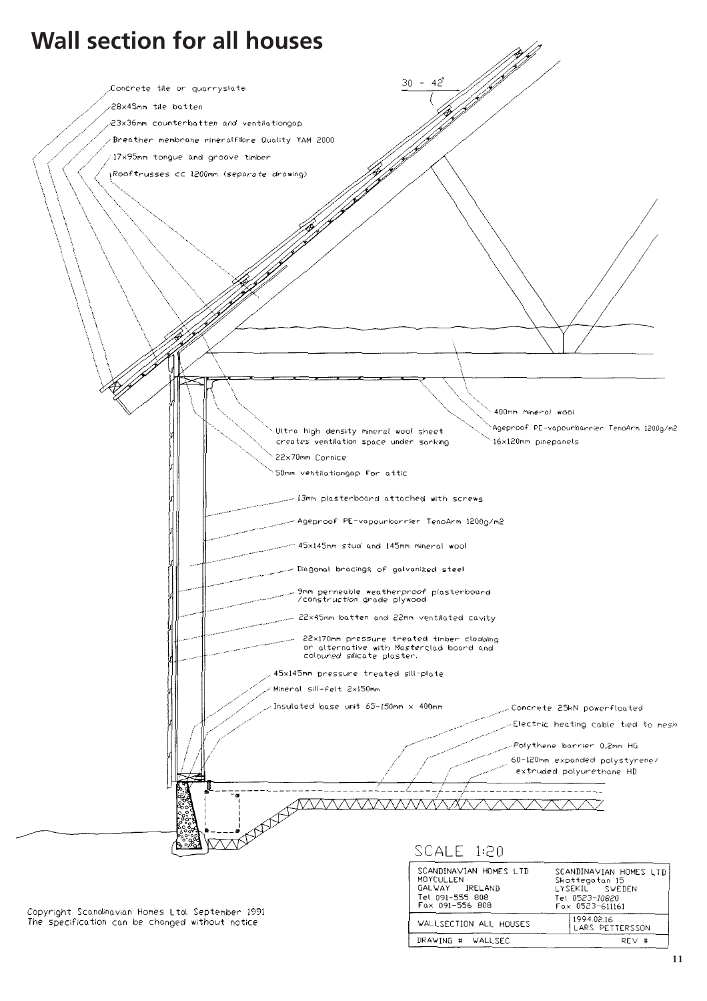

**11**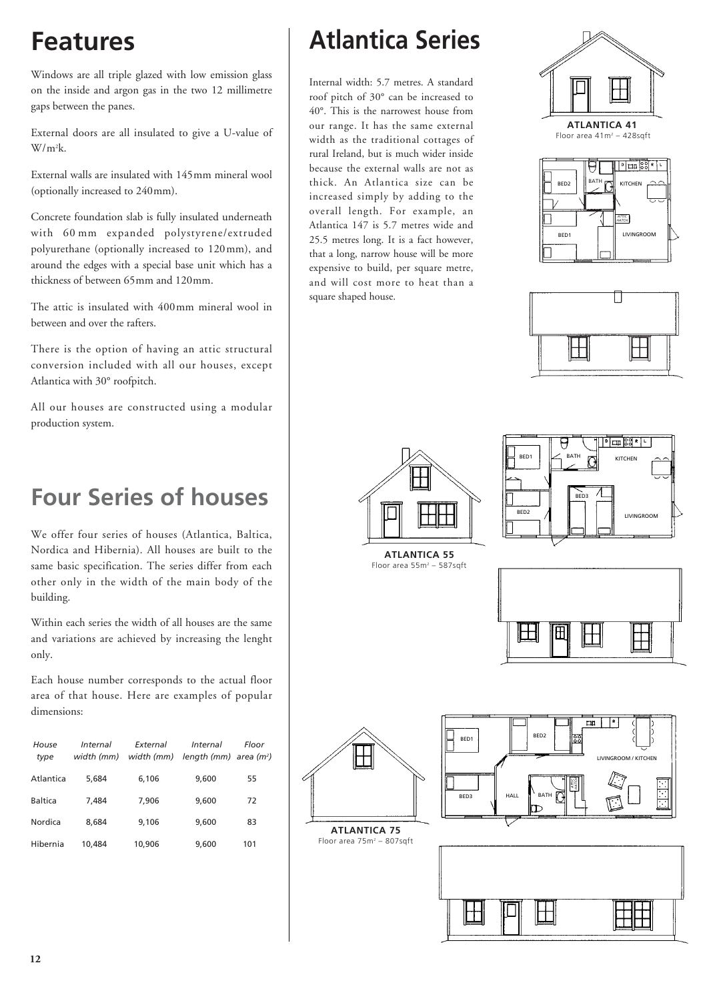Windows are all triple glazed with low emission glass on the inside and argon gas in the two 12 millimetre gaps between the panes.

External doors are all insulated to give a U-value of W/m2 k.

External walls are insulated with 145mm mineral wool (optionally increased to 240mm).

Concrete foundation slab is fully insulated underneath with 60 mm expanded polystyrene/extruded polyurethane (optionally increased to 120mm), and around the edges with a special base unit which has a thickness of between 65mm and 120mm.

The attic is insulated with 400mm mineral wool in between and over the rafters.

There is the option of having an attic structural conversion included with all our houses, except Atlantica with 30° roofpitch.

All our houses are constructed using a modular production system.

### **Four Series of houses**

We offer four series of houses (Atlantica, Baltica, Nordica and Hibernia). All houses are built to the same basic specification. The series differ from each other only in the width of the main body of the building.

Within each series the width of all houses are the same and variations are achieved by increasing the lenght only.

Each house number corresponds to the actual floor area of that house. Here are examples of popular dimensions:

| House<br>type | Internal<br>width (mm) | External<br>width (mm) | Internal<br>length (mm) area ( $m^2$ ) | Floor |
|---------------|------------------------|------------------------|----------------------------------------|-------|
| Atlantica     | 5.684                  | 6,106                  | 9,600                                  | 55    |
| Baltica       | 7.484                  | 7.906                  | 9.600                                  | 72    |
| Nordica       | 8,684                  | 9,106                  | 9,600                                  | 83    |
| Hibernia      | 10.484                 | 10,906                 | 9,600                                  | 101   |

# **Features Atlantica Series**

Internal width: 5.7 metres. A standard roof pitch of 30° can be increased to 40°. This is the narrowest house from our range. It has the same external width as the traditional cottages of rural Ireland, but is much wider inside because the external walls are not as thick. An Atlantica size can be increased simply by adding to the overall length. For example, an Atlantica 147 is 5.7 metres wide and 25.5 metres long. It is a fact however, that a long, narrow house will be more expensive to build, per square metre, and will cost more to heat than a square shaped house.











**ATLANTICA 55** Floor area  $55m^2 - 587$ sqft





**ATLANTICA 75** Floor area 75m<sup>2</sup> - 807sqft



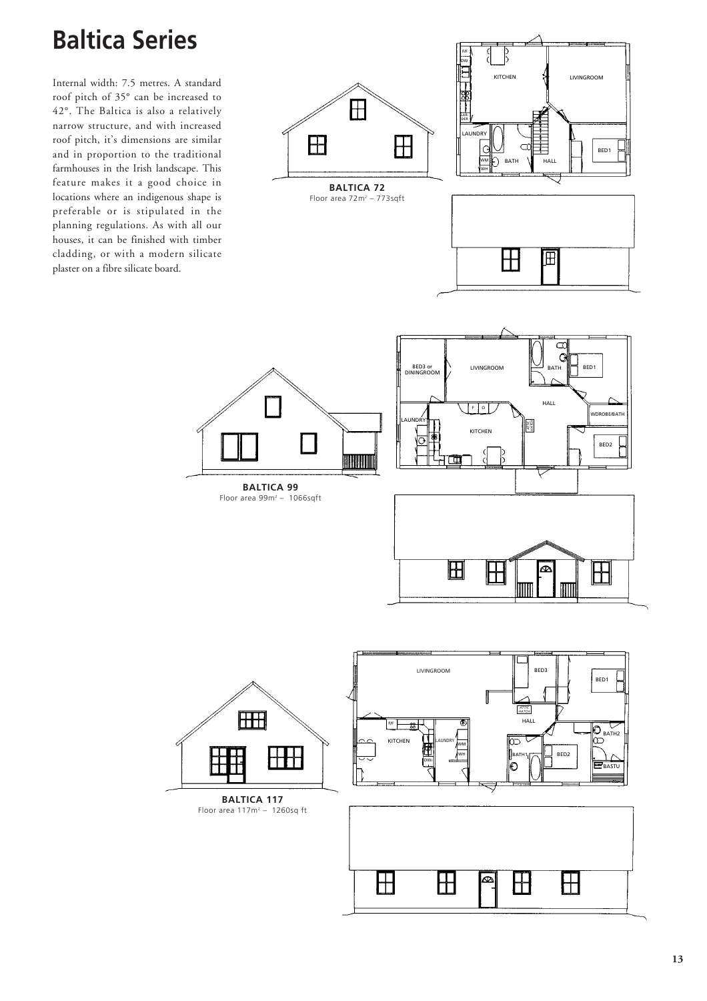### **Baltica Series**

Internal width: 7.5 metres. A standard roof pitch of 35° can be increased to 42°. The Baltica is also a relatively narrow structure, and with increased roof pitch, it's dimensions are similar and in proportion to the traditional farmhouses in the Irish landscape. This feature makes it a good choice in locations where an indigenous shape is preferable or is stipulated in the planning regulations. As with all our houses, it can be finished with timber cladding, or with a modern silicate plaster on a fibre silicate board.



**BALTICA 72** Floor area 72m<sup>2</sup> - 773sqft









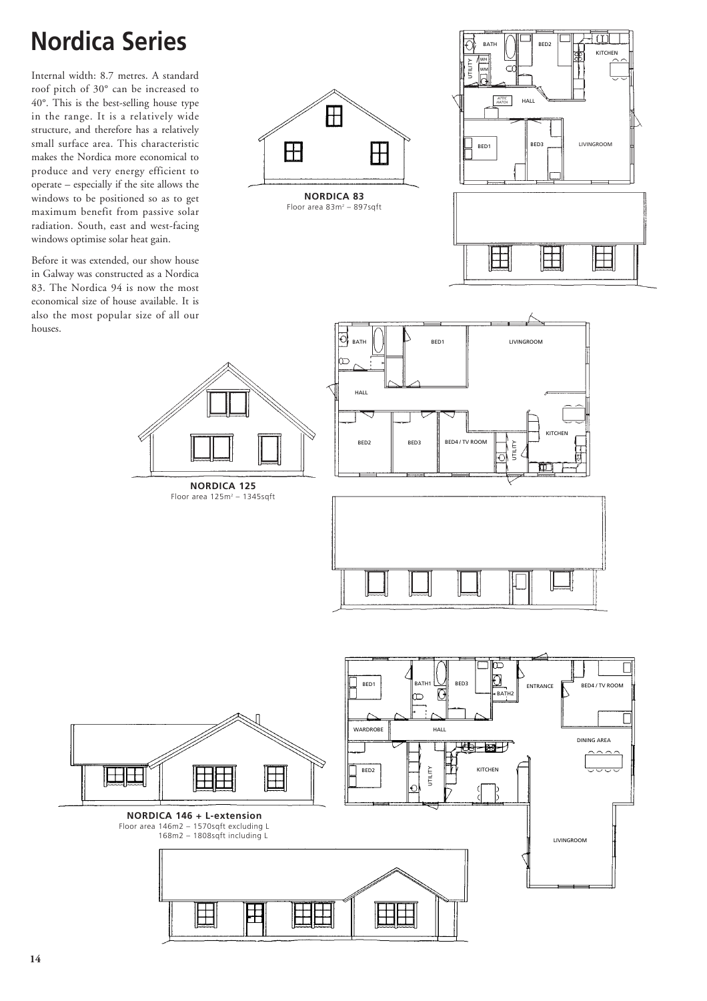# **Nordica Series**

Internal width: 8.7 metres. A standard roof pitch of 30° can be increased to 40°. This is the best-selling house type in the range. It is a relatively wide structure, and therefore has a relatively small surface area. This characteristic makes the Nordica more economical to produce and very energy efficient to operate – especially if the site allows the windows to be positioned so as to get maximum benefit from passive solar radiation. South, east and west-facing windows optimise solar heat gain.

Before it was extended, our show house in Galway was constructed as a Nordica 83. The Nordica 94 is now the most economical size of house available. It is also the most popular size of all our houses.



**NORDICA 83** Floor area 83m<sup>2</sup> - 897sqft











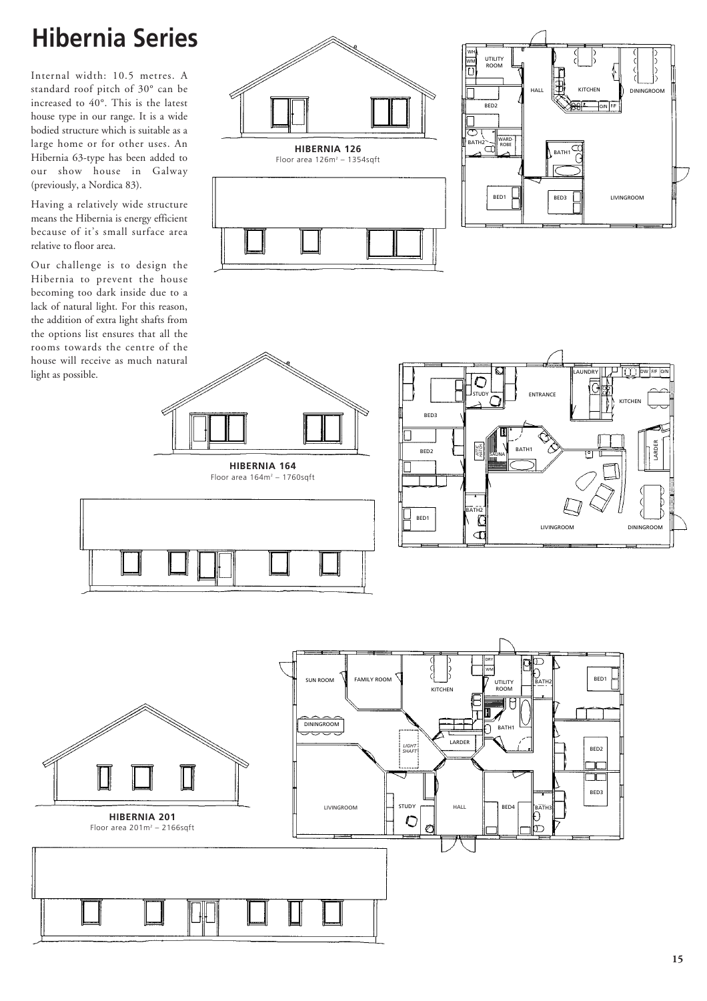### **Hibernia Series**

Internal width: 10.5 metres. A standard roof pitch of 30° can be increased to 40°. This is the latest house type in our range. It is a wide bodied structure which is suitable as a large home or for other uses. An Hibernia 63-type has been added to our show house in Galway (previously, a Nordica 83).

Having a relatively wide structure means the Hibernia is energy efficient because of it's small surface area relative to floor area.

Our challenge is to design the Hibernia to prevent the house becoming too dark inside due to a lack of natural light. For this reason, the addition of extra light shafts from the options list ensures that all the rooms towards the centre of the house will receive as much natural light as possible.







**HIBERNIA 164** Floor area  $164m^2 - 1760$ sqft